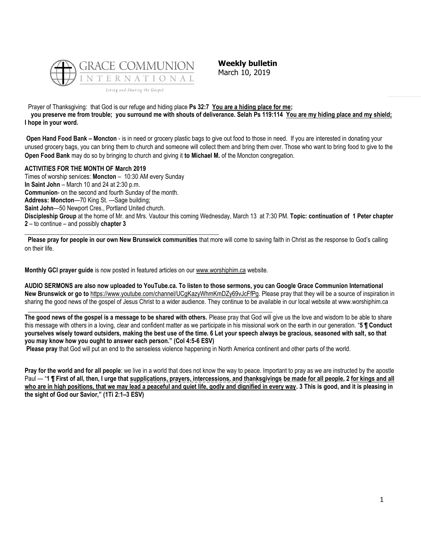

\_\_\_\_\_\_\_\_\_\_\_\_\_\_\_\_\_\_\_\_\_\_\_\_\_\_\_\_\_\_\_\_\_\_\_\_\_\_\_\_\_\_\_\_\_\_\_\_\_\_\_\_\_\_\_\_\_\_\_\_\_\_

**Weekly bulletin** March 10, 2019

Prayer of Thanksgiving: that God is our refuge and hiding place **Ps 32:7 You are a hiding place for me;** 

 **you preserve me from trouble; you surround me with shouts of deliverance. Selah Ps 119:114 You are my hiding place and my shield; I hope in your word.**

**Open Hand Food Bank – Moncton** - is in need or grocery plastic bags to give out food to those in need. If you are interested in donating your unused grocery bags, you can bring them to church and someone will collect them and bring them over. Those who want to bring food to give to the **Open Food Bank** may do so by bringing to church and giving it **to Michael M.** of the Moncton congregation.

#### **ACTIVITIES FOR THE MONTH OF March 2019**

Times of worship services: **Moncton** – 10:30 AM every Sunday **In Saint John** – March 10 and 24 at 2:30 p.m. **Communion**- on the second and fourth Sunday of the month. **Address: Moncton**—70 King St. —Sage building; **Saint John**—50 Newport Cres., Portland United church. **Discipleship Group** at the home of Mr. and Mrs. Vautour this coming Wednesday, March 13 at 7:30 PM. **Topic: continuation of 1 Peter chapter 2** – to continue – and possibly **chapter 3**

**Please pray for people in our own New Brunswick communities** that more will come to saving faith in Christ as the response to God's calling on their life.

**Monthly GCI prayer guide** is now posted in featured articles on ou[r www.worshiphim.ca](http://www.worshiphim.ca/) website.

**\_\_\_\_\_\_\_\_\_\_\_\_\_\_\_\_\_\_\_\_\_\_\_\_\_\_\_\_\_\_\_\_\_\_\_\_\_\_\_\_\_\_\_\_\_\_\_\_\_\_\_\_\_\_\_\_\_\_\_\_\_\_\_\_\_\_\_\_\_\_\_\_\_\_\_\_\_\_**

**AUDIO SERMONS are also now uploaded to YouTube.ca. To listen to those sermons, you can Google Grace Communion International New Brunswick or go to** [https://www.youtube.com/channel/UCgKazyWhmKmDZy69vJcFfPg.](https://www.youtube.com/channel/UCgKazyWhmKmDZy69vJcFfPg) Please pray that they will be a source of inspiration in sharing the good news of the gospel of Jesus Christ to a wider audience. They continue to be available in our local website at www.worshiphim.ca

**The good news of the gospel is a message to be shared with others.** Please pray that God will give us the love and wisdom to be able to share this message with others in a loving, clear and confident matter as we participate in his missional work on the earth in our generation. "**5 ¶ Conduct yourselves wisely toward outsiders, making the best use of the time. 6 Let your speech always be gracious, seasoned with salt, so that you may know how you ought to answer each person." (Col 4:5-6 ESV)**

**Please pray** that God will put an end to the senseless violence happening in North America continent and other parts of the world.

**Pray for the world and for all people**: we live in a world that does not know the way to peace. Important to pray as we are instructed by the apostle Paul — "**1 ¶ First of all, then, I urge that supplications, prayers, intercessions, and thanksgivings be made for all people, 2 for kings and all who are in high positions, that we may lead a peaceful and quiet life, godly and dignified in every way. 3 This is good, and it is pleasing in the sight of God our Savior," (1Ti 2:1–3 ESV)**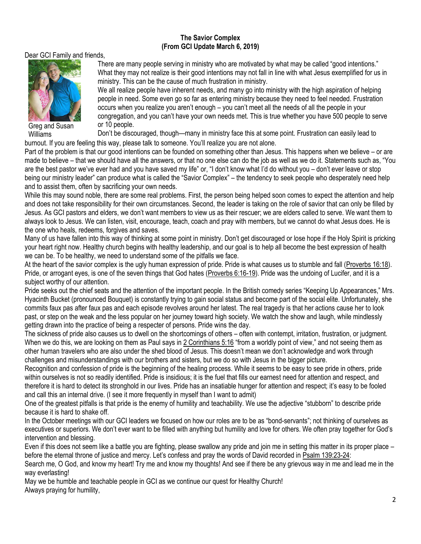### **The Savior Complex (From GCI Update March 6, 2019)**

Dear GCI Family and friends,



Greg and Susan Williams

There are many people serving in ministry who are motivated by what may be called "good intentions." What they may not realize is their good intentions may not fall in line with what Jesus exemplified for us in ministry. This can be the cause of much frustration in ministry.

We all realize people have inherent needs, and many go into ministry with the high aspiration of helping people in need. Some even go so far as entering ministry because they need to feel needed. Frustration occurs when you realize you aren't enough – you can't meet all the needs of all the people in your congregation, and you can't have your own needs met. This is true whether you have 500 people to serve or 10 people.

Don't be discouraged, though—many in ministry face this at some point. Frustration can easily lead to burnout. If you are feeling this way, please talk to someone. You'll realize you are not alone.

Part of the problem is that our good intentions can be founded on something other than Jesus. This happens when we believe – or are made to believe – that we should have all the answers, or that no one else can do the job as well as we do it. Statements such as, "You are the best pastor we've ever had and you have saved my life" or, "I don't know what I'd do without you – don't ever leave or stop being our ministry leader" can produce what is called the "Savior Complex" – the tendency to seek people who desperately need help and to assist them, often by sacrificing your own needs.

While this may sound noble, there are some real problems. First, the person being helped soon comes to expect the attention and help and does not take responsibility for their own circumstances. Second, the leader is taking on the role of savior that can only be filled by Jesus. As GCI pastors and elders, we don't want members to view us as their rescuer; we are elders called to serve. We want them to always look to Jesus. We can listen, visit, encourage, teach, coach and pray with members, but we cannot do what Jesus does. He is the one who heals, redeems, forgives and saves.

Many of us have fallen into this way of thinking at some point in ministry. Don't get discouraged or lose hope if the Holy Spirit is pricking your heart right now. Healthy church begins with healthy leadership, and our goal is to help all become the best expression of health we can be. To be healthy, we need to understand some of the pitfalls we face.

At the heart of the savior complex is the ugly human expression of pride. Pride is what causes us to stumble and fall [\(Proverbs 16:18\)](https://biblia.com/bible/niv/Prov%2016.18). Pride, or arrogant eyes, is one of the seven things that God hates [\(Proverbs 6:16-19\)](https://biblia.com/bible/niv/Prov%206.16-19). Pride was the undoing of Lucifer, and it is a subject worthy of our attention.

Pride seeks out the chief seats and the attention of the important people. In the British comedy series "Keeping Up Appearances," Mrs. Hyacinth Bucket (pronounced Bouquet) is constantly trying to gain social status and become part of the social elite. Unfortunately, she commits faux pas after faux pas and each episode revolves around her latest. The real tragedy is that her actions cause her to look past, or step on the weak and the less popular on her journey toward high society. We watch the show and laugh, while mindlessly getting drawn into the practice of being a respecter of persons. Pride wins the day.

The sickness of pride also causes us to dwell on the shortcomings of others – often with contempt, irritation, frustration, or judgment. When we do this, we are looking on them as Paul says in [2 Corinthians 5:16](https://biblia.com/bible/niv/2%20Cor%205.16) "from a worldly point of view," and not seeing them as other human travelers who are also under the shed blood of Jesus. This doesn't mean we don't acknowledge and work through challenges and misunderstandings with our brothers and sisters, but we do so with Jesus in the bigger picture.

Recognition and confession of pride is the beginning of the healing process. While it seems to be easy to see pride in others, pride within ourselves is not so readily identified. Pride is insidious; it is the fuel that fills our earnest need for attention and respect, and therefore it is hard to detect its stronghold in our lives. Pride has an insatiable hunger for attention and respect; it's easy to be fooled and call this an internal drive. (I see it more frequently in myself than I want to admit)

One of the greatest pitfalls is that pride is the enemy of humility and teachability. We use the adjective "stubborn" to describe pride because it is hard to shake off.

In the October meetings with our GCI leaders we focused on how our roles are to be as "bond-servants"; not thinking of ourselves as executives or superiors. We don't ever want to be filled with anything but humility and love for others. We often pray together for God's intervention and blessing.

Even if this does not seem like a battle you are fighting, please swallow any pride and join me in setting this matter in its proper place – before the eternal throne of justice and mercy. Let's confess and pray the words of David recorded in [Psalm 139:23-24:](https://biblia.com/bible/niv/Ps%20139.23-24)

Search me, O God, and know my heart! Try me and know my thoughts! And see if there be any grievous way in me and lead me in the way everlasting!

May we be humble and teachable people in GCI as we continue our quest for Healthy Church! Always praying for humility,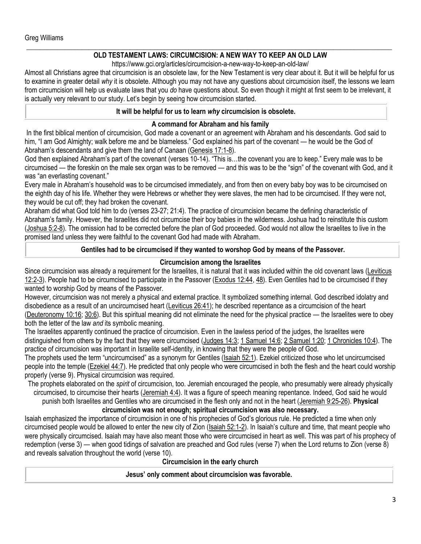#### **\_\_\_\_\_\_\_\_\_\_\_\_\_\_\_\_\_\_\_\_\_\_\_\_\_\_\_\_\_\_\_\_\_\_\_\_\_\_\_\_\_\_\_\_\_\_\_\_\_\_\_\_\_\_\_\_\_\_\_\_\_\_\_\_\_\_\_\_\_\_\_\_\_\_\_\_\_\_\_\_\_\_\_\_\_\_\_\_\_\_\_\_\_\_\_\_\_\_\_\_\_\_\_\_\_\_ OLD TESTAMENT LAWS: CIRCUMCISION: A NEW WAY TO KEEP AN OLD LAW**

https://www.gci.org/articles/circumcision-a-new-way-to-keep-an-old-law/

Almost all Christians agree that circumcision is an obsolete law, for the New Testament is very clear about it. But it will be helpful for us to examine in greater detail *why* it is obsolete. Although you may not have any questions about circumcision itself, the lessons we learn from circumcision will help us evaluate laws that you *do* have questions about. So even though it might at first seem to be irrelevant, it is actually very relevant to our study. Let's begin by seeing how circumcision started.

#### **It will be helpful for us to learn** *why* **circumcision is obsolete.**

### **A command for Abraham and his family**

In the first biblical mention of circumcision, God made a covenant or an agreement with Abraham and his descendants. God said to him, "I am God Almighty; walk before me and be blameless." God explained his part of the covenant — he would be the God of Abraham's descendants and give them the land of Canaan ([Genesis 17:1-8\)](https://biblia.com/bible/niv/Gen%2017.1-8).

God then explained Abraham's part of the covenant (verses 10-14). "This is...the covenant you are to keep." Every male was to be circumcised — the foreskin on the male sex organ was to be removed — and this was to be the "sign" of the covenant with God, and it was "an everlasting covenant."

Every male in Abraham's household was to be circumcised immediately, and from then on every baby boy was to be circumcised on the eighth day of his life. Whether they were Hebrews or whether they were slaves, the men had to be circumcised. If they were not, they would be cut off; they had broken the covenant.

Abraham did what God told him to do (verses 23-27; 21:4). The practice of circumcision became the defining characteristic of Abraham's family. However, the Israelites did not circumcise their boy babies in the wilderness. Joshua had to reinstitute this custom [\(Joshua 5:2-8\)](https://biblia.com/bible/niv/Josh%205.2-8). The omission had to be corrected before the plan of God proceeded. God would not allow the Israelites to live in the promised land unless they were faithful to the covenant God had made with Abraham.

## **Gentiles had to be circumcised if they wanted to worshop God by means of the Passover.**

## **Circumcision among the Israelites**

Since circumcision was already a requirement for the Israelites, it is natural that it was included within the old covenant laws [\(Leviticus](https://biblia.com/bible/niv/Lev%2012.2-3)  [12:2-3\)](https://biblia.com/bible/niv/Lev%2012.2-3). People had to be circumcised to participate in the Passover [\(Exodus 12:44,](https://biblia.com/bible/niv/Exod%2012.44) [48\)](https://biblia.com/bible/niv/Exodus%2012.48). Even Gentiles had to be circumcised if they wanted to worship God by means of the Passover.

However, circumcision was not merely a physical and external practice. It symbolized something internal. God described idolatry and disobedience as a result of an uncircumcised heart [\(Leviticus 26:41\)](https://biblia.com/bible/niv/Lev%2026.41); he described repentance as a circumcision of the heart [\(Deuteronomy 10:16;](https://biblia.com/bible/niv/Deut%2010.16) [30:6\)](https://biblia.com/bible/niv/Deuteronomy%2030.6). But this spiritual meaning did not eliminate the need for the physical practice — the Israelites were to obey both the letter of the law *and* its symbolic meaning.

The Israelites apparently continued the practice of circumcision. Even in the lawless period of the judges, the Israelites were distinguished from others by the fact that they were circumcised [\(Judges 14:3;](https://biblia.com/bible/niv/Judg%2014.3) [1 Samuel 14:6;](https://biblia.com/bible/niv/1%20Sam%2014.6) [2 Samuel 1:20;](https://biblia.com/bible/niv/2%20Sam%201.20) [1 Chronicles 10:4\)](https://biblia.com/bible/niv/1%20Chron%2010.4). The practice of circumcision was important in Israelite self-identity, in knowing that they were the people of God.

The prophets used the term "uncircumcised" as a synonym for Gentiles [\(Isaiah 52:1\)](https://biblia.com/bible/niv/Isa%2052.1). Ezekiel criticized those who let uncircumcised people into the temple [\(Ezekiel 44:7\)](https://biblia.com/bible/niv/Ezek%2044.7). He predicted that only people who were circumcised in both the flesh and the heart could worship properly (verse 9). Physical circumcision was required.

The prophets elaborated on the *spirit* of circumcision, too. Jeremiah encouraged the people, who presumably were already physically circumcised, to circumcise their hearts [\(Jeremiah 4:4\)](https://biblia.com/bible/niv/Jer%204.4). It was a figure of speech meaning repentance. Indeed, God said he would

punish both Israelites and Gentiles who are circumcised in the flesh only and not in the heart [\(Jeremiah 9:25-26\)](https://biblia.com/bible/niv/Jer%209.25-26). **Physical circumcision was not enough; spiritual circumcision was also necessary.**

Isaiah emphasized the importance of circumcision in one of his prophecies of God's glorious rule. He predicted a time when only circumcised people would be allowed to enter the new city of Zion [\(Isaiah 52:1-2](https://biblia.com/bible/niv/Isa%2052.1-2)). In Isaiah's culture and time, that meant people who were physically circumcised. Isaiah may have also meant those who were circumcised in heart as well. This was part of his prophecy of redemption (verse 3) — when good tidings of salvation are preached and God rules (verse 7) when the Lord returns to Zion (verse 8) and reveals salvation throughout the world (verse 10).

## **Circumcision in the early church**

**Jesus' only comment about circumcision was favorable.**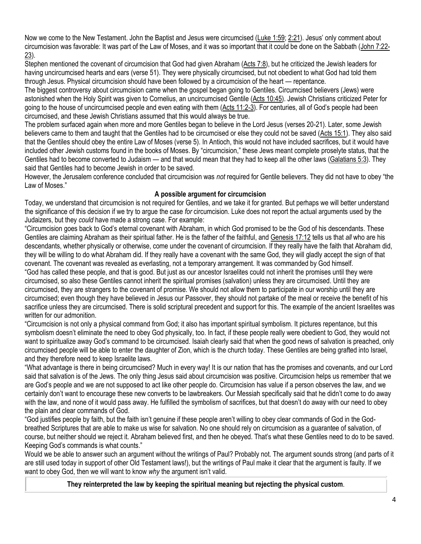Now we come to the New Testament. John the Baptist and Jesus were circumcised [\(Luke 1:59;](https://biblia.com/bible/niv/Luke%201.59) [2:21](https://biblia.com/bible/niv/Luke%202.21)). Jesus' only comment about circumcision was favorable: It was part of the Law of Moses, and it was so important that it could be done on the Sabbath [\(John 7:22-](https://biblia.com/bible/niv/John%207.22-23) [23\)](https://biblia.com/bible/niv/John%207.22-23).

Stephen mentioned the covenant of circumcision that God had given Abraham [\(Acts 7:8\)](https://biblia.com/bible/niv/Acts%207.8), but he criticized the Jewish leaders for having uncircumcised hearts and ears (verse 51). They were physically circumcised, but not obedient to what God had told them through Jesus. Physical circumcision should have been followed by a circumcision of the heart — repentance.

The biggest controversy about circumcision came when the gospel began going to Gentiles. Circumcised believers (Jews) were astonished when the Holy Spirit was given to Cornelius, an uncircumcised Gentile [\(Acts 10:45\)](https://biblia.com/bible/niv/Acts%2010.45). Jewish Christians criticized Peter for going to the house of uncircumcised people and even eating with them [\(Acts 11:2-3](https://biblia.com/bible/niv/Acts%2011.2-3)). For centuries, all of God's people had been circumcised, and these Jewish Christians assumed that this would always be true.

The problem surfaced again when more and more Gentiles began to believe in the Lord Jesus (verses 20-21). Later, some Jewish believers came to them and taught that the Gentiles had to be circumcised or else they could not be saved [\(Acts 15:1\)](https://biblia.com/bible/niv/Acts%2015.1). They also said that the Gentiles should obey the entire Law of Moses (verse 5). In Antioch, this would not have included sacrifices, but it would have included other Jewish customs found in the books of Moses. By "circumcision," these Jews meant complete proselyte status, that the Gentiles had to become converted to Judaism — and that would mean that they had to keep all the other laws [\(Galatians 5:3\)](https://biblia.com/bible/niv/Gal%205.3). They said that Gentiles had to become Jewish in order to be saved.

However, the Jerusalem conference concluded that circumcision was *not* required for Gentile believers. They did not have to obey "the Law of Moses."

## **A possible argument for circumcision**

Today, we understand that circumcision is not required for Gentiles, and we take it for granted. But perhaps we will better understand the significance of this decision if we try to argue the case *for* circumcision. Luke does not report the actual arguments used by the Judaizers, but they *could* have made a strong case. For example:

"Circumcision goes back to God's eternal covenant with Abraham, in which God promised to be the God of his descendants. These Gentiles are claiming Abraham as their spiritual father. He is the father of the faithful, and [Genesis 17:12](https://biblia.com/bible/niv/Gen%2017.12) tells us that *all* who are his descendants, whether physically or otherwise, come under the covenant of circumcision. If they really have the faith that Abraham did, they will be willing to do what Abraham did. If they really have a covenant with the same God, they will gladly accept the sign of that covenant. The covenant was revealed as everlasting, not a temporary arrangement. It was commanded by God himself. "God has called these people, and that is good. But just as our ancestor Israelites could not inherit the promises until they were circumcised, so also these Gentiles cannot inherit the spiritual promises (salvation) unless they are circumcised. Until they are circumcised, they are strangers to the covenant of promise. We should not allow them to participate in our worship until they are circumcised; even though they have believed in Jesus our Passover, they should not partake of the meal or receive the benefit of his sacrifice unless they are circumcised. There is solid scriptural precedent and support for this. The example of the ancient Israelites was written for our admonition.

"Circumcision is not only a physical command from God; it also has important spiritual symbolism. It pictures repentance, but this symbolism doesn't eliminate the need to obey God physically, too. In fact, if these people really were obedient to God, they would not want to spiritualize away God's command to be circumcised. Isaiah clearly said that when the good news of salvation is preached, only circumcised people will be able to enter the daughter of Zion, which is the church today. These Gentiles are being grafted into Israel, and they therefore need to keep Israelite laws.

"What advantage is there in being circumcised? Much in every way! It is our nation that has the promises and covenants, and our Lord said that salvation is of the Jews. The only thing Jesus said about circumcision was positive. Circumcision helps us remember that we are God's people and we are not supposed to act like other people do. Circumcision has value if a person observes the law, and we certainly don't want to encourage these new converts to be lawbreakers. Our Messiah specifically said that he didn't come to do away with the law, and none of it would pass away. He fulfilled the symbolism of sacrifices, but that doesn't do away with our need to obey the plain and clear commands of God.

"God justifies people by faith, but the faith isn't genuine if these people aren't willing to obey clear commands of God in the Godbreathed Scriptures that are able to make us wise for salvation. No one should rely on circumcision as a guarantee of salvation, of course, but neither should we reject it. Abraham believed first, and then he obeyed. That's what these Gentiles need to do to be saved. Keeping God's commands is what counts."

Would we be able to answer such an argument without the writings of Paul? Probably not. The argument sounds strong (and parts of it are still used today in support of other Old Testament laws!), but the writings of Paul make it clear that the argument is faulty. If we want to obey God, then we will want to know *why* the argument isn't valid.

**They reinterpreted the law by keeping the spiritual meaning but rejecting the physical custom**.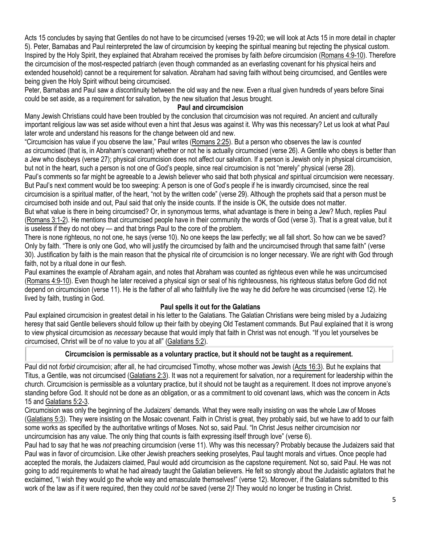Acts 15 concludes by saying that Gentiles do not have to be circumcised (verses 19-20; we will look at Acts 15 in more detail in chapter 5). Peter, Barnabas and Paul reinterpreted the law of circumcision by keeping the spiritual meaning but rejecting the physical custom. Inspired by the Holy Spirit, they explained that Abraham received the promises by faith *before* circumcision [\(Romans 4:9-10\)](https://biblia.com/bible/niv/Rom%204.9-10). Therefore the circumcision of the most-respected patriarch (even though commanded as an everlasting covenant for his physical heirs and extended household) cannot be a requirement for salvation. Abraham had saving faith without being circumcised, and Gentiles were being given the Holy Spirit without being circumcised.

Peter, Barnabas and Paul saw a *dis*continuity between the old way and the new. Even a ritual given hundreds of years before Sinai could be set aside, as a requirement for salvation, by the new situation that Jesus brought.

#### **Paul and circumcision**

Many Jewish Christians could have been troubled by the conclusion that circumcision was not required. An ancient and culturally important religious law was set aside without even a hint that Jesus was against it. Why was this necessary? Let us look at what Paul later wrote and understand his reasons for the change between old and new.

"Circumcision has value if you observe the law," Paul writes ([Romans 2:25\)](https://biblia.com/bible/niv/Rom%202.25). But a person who observes the law is *counted as* circumcised (that is, in Abraham's covenant) whether or not he is actually circumcised (verse 26). A Gentile who obeys is better than a Jew who disobeys (verse 27); physical circumcision does not affect our salvation. If a person is Jewish only in physical circumcision, but not in the heart, such a person is not one of God's people, since real circumcision is not "merely" physical (verse 28).

Paul's comments so far might be agreeable to a Jewish believer who said that both physical *and* spiritual circumcision were necessary. But Paul's next comment would be too sweeping: A person is one of God's people if he is inwardly circumcised, since the real circumcision is a spiritual matter, of the heart, "not by the written code" (verse 29). Although the prophets said that a person must be circumcised both inside and out, Paul said that only the inside counts. If the inside is OK, the outside does not matter.

But what value is there in being circumcised? Or, in synonymous terms, what advantage is there in being a Jew? Much, replies Paul [\(Romans 3:1-2\)](https://biblia.com/bible/niv/Rom%203.1-2). He mentions that circumcised people have in their community the words of God (verse 3). That is a great value, but it is useless if they do not obey — and that brings Paul to the core of the problem.

There is none righteous, no not one, he says (verse 10). No one keeps the law perfectly; we all fall short. So how can we be saved? Only by faith. "There is only one God, who will justify the circumcised by faith and the uncircumcised through that same faith" (verse 30). Justification by faith is the main reason that the physical rite of circumcision is no longer necessary. We are right with God through faith, not by a ritual done in our flesh.

Paul examines the example of Abraham again, and notes that Abraham was counted as righteous even while he was uncircumcised [\(Romans 4:9-10\)](https://biblia.com/bible/niv/Rom%204.9-10). Even though he later received a physical sign or seal of his righteousness, his righteous status before God did not depend on circumcision (verse 11). He is the father of all who faithfully live the way he did *before* he was circumcised (verse 12). He lived by faith, trusting in God.

## **Paul spells it out for the Galatians**

Paul explained circumcision in greatest detail in his letter to the Galatians. The Galatian Christians were being misled by a Judaizing heresy that said Gentile believers should follow up their faith by obeying Old Testament commands. But Paul explained that it is wrong to view physical circumcision as *necessary* because that would imply that faith in Christ was not enough. "If you let yourselves be circumcised, Christ will be of no value to you at all" ([Galatians 5:2\)](https://biblia.com/bible/niv/Gal%205.2).

# **Circumcision is permissable as a voluntary practice, but it should not be taught as a requirement.**

Paul did not *forbid* circumcision; after all, he had circumcised Timothy, whose mother was Jewish [\(Acts 16:3\)](https://biblia.com/bible/niv/Acts%2016.3). But he explains that Titus, a Gentile, was not circumcised [\(Galatians 2:3\)](https://biblia.com/bible/niv/Gal%202.3). It was not a requirement for salvation, nor a requirement for leadership within the church. Circumcision is permissible as a voluntary practice, but it should not be taught as a requirement. It does not improve anyone's standing before God. It should not be done as an obligation, or as a commitment to old covenant laws, which was the concern in Acts 15 and [Galatians 5:2-3.](https://biblia.com/bible/niv/Gal%205.2-3)

Circumcision was only the beginning of the Judaizers' demands. What they were really insisting on was the whole Law of Moses [\(Galatians 5:3\)](https://biblia.com/bible/niv/Gal%205.3). They were insisting on the Mosaic covenant. Faith in Christ is great, they probably said, but we have to add to our faith some works as specified by the authoritative writings of Moses. Not so, said Paul. "In Christ Jesus neither circumcision nor uncircumcision has any value. The only thing that counts is faith expressing itself through love" (verse 6).

Paul had to say that he was *not* preaching circumcision (verse 11). Why was this necessary? Probably because the Judaizers said that Paul was in favor of circumcision. Like other Jewish preachers seeking proselytes, Paul taught morals and virtues. Once people had accepted the morals, the Judaizers claimed, Paul would add circumcision as the capstone requirement. Not so, said Paul. He was not going to add requirements to what he had already taught the Galatian believers. He felt so strongly about the Judaistic agitators that he exclaimed, "I wish they would go the whole way and emasculate themselves!" (verse 12). Moreover, if the Galatians submitted to this work of the law as if it were required, then they could *not* be saved (verse 2)! They would no longer be trusting in Christ.